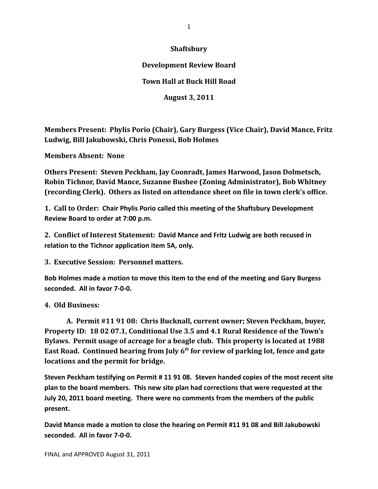### **Shaftsbury**

## **Development Review Board**

# **Town Hall at Buck Hill Road**

**August 3, 2011**

**Members Present: Phylis Porio (Chair), Gary Burgess (Vice Chair), David Mance, Fritz Ludwig, Bill Jakubowski, Chris Ponessi, Bob Holmes**

**Members Absent: None**

**Others Present: Steven Peckham, Jay Coonradt, James Harwood, Jason Dolmetsch, Robin Tichnor, David Mance, Suzanne Bushee (Zoning Administrator), Bob Whitney (recording Clerk). Others as listed on attendance sheet on file in town clerk's office.**

**1. Call to Order: Chair Phylis Porio called this meeting of the Shaftsbury Development Review Board to order at 7:00 p.m.**

**2. Conflict of Interest Statement: David Mance and Fritz Ludwig are both recused in relation to the Tichnor application item 5A, only.**

**3. Executive Session: Personnel matters.**

**Bob Holmes made a motion to move this item to the end of the meeting and Gary Burgess seconded. All in favor 7‐0‐0.**

### **4. Old Business:**

**A. Permit #11 91 08: Chris Bucknall, current owner; Steven Peckham, buyer, Property ID: 18 02 07.1, Conditional Use 3.5 and 4.1 Rural Residence of the Town's Bylaws. Permit usage of acreage for a beagle club. This property is located at 1988 East Road. Continued hearing from July 6th for review of parking lot, fence and gate locations and the permit for bridge.**

**Steven Peckham testifying on Permit # 11 91 08. Steven handed copies of the most recent site plan to the board members. This new site plan had corrections that were requested at the July 20, 2011 board meeting. There were no comments from the members of the public present.**

**David Mance made a motion to close the hearing on Permit #11 91 08 and Bill Jakubowski seconded. All in favor 7‐0‐0.**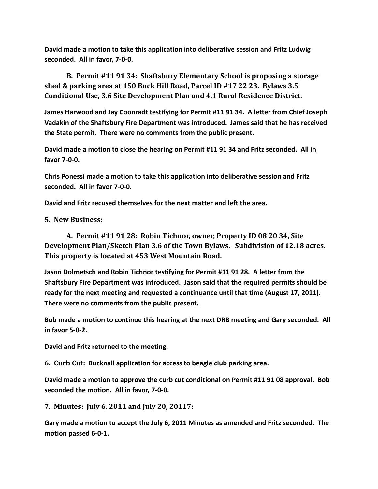**David made a motion to take this application into deliberative session and Fritz Ludwig seconded. All in favor, 7‐0‐0.**

**B. Permit #11 91 34: Shaftsbury Elementary School is proposing a storage shed & parking area at 150 Buck Hill Road, Parcel ID #17 22 23. Bylaws 3.5 Conditional Use, 3.6 Site Development Plan and 4.1 Rural Residence District.**

**James Harwood and Jay Coonradt testifying for Permit #11 91 34. A letter from Chief Joseph Vadakin of the Shaftsbury Fire Department was introduced. James said that he has received the State permit. There were no comments from the public present.** 

**David made a motion to close the hearing on Permit #11 91 34 and Fritz seconded. All in favor 7‐0‐0.**

**Chris Ponessi made a motion to take this application into deliberative session and Fritz seconded. All in favor 7‐0‐0.**

**David and Fritz recused themselves for the next matter and left the area.**

**5. New Business:**

**A. Permit #11 91 28: Robin Tichnor, owner, Property ID 08 20 34, Site Development Plan/Sketch Plan 3.6 of the Town Bylaws. Subdivision of 12.18 acres. This property is located at 453 West Mountain Road.** 

**Jason Dolmetsch and Robin Tichnor testifying for Permit #11 91 28. A letter from the Shaftsbury Fire Department was introduced. Jason said that the required permits should be ready for the next meeting and requested a continuance until that time (August 17, 2011). There were no comments from the public present.** 

**Bob made a motion to continue this hearing at the next DRB meeting and Gary seconded. All in favor 5‐0‐2.** 

**David and Fritz returned to the meeting.**

**6. Curb Cut: Bucknall application for access to beagle club parking area.** 

**David made a motion to approve the curb cut conditional on Permit #11 91 08 approval. Bob seconded the motion. All in favor, 7‐0‐0.**

**7. Minutes: July 6, 2011 and July 20, 20117:** 

**Gary made a motion to accept the July 6, 2011 Minutes as amended and Fritz seconded. The motion passed 6‐0‐1.**